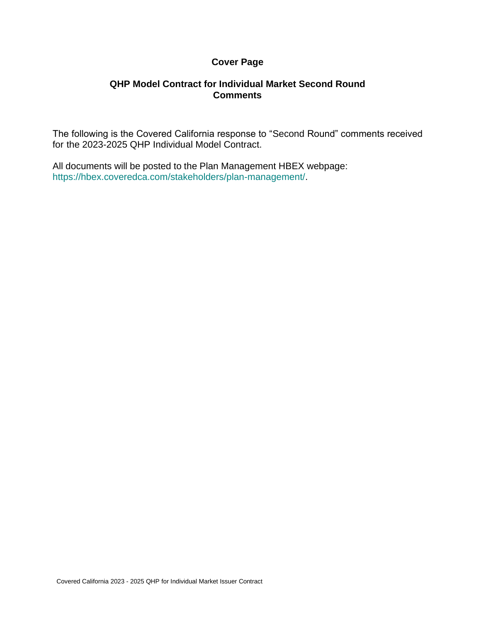## **Cover Page**

## **QHP Model Contract for Individual Market Second Round Comments**

The following is the Covered California response to "Second Round" comments received for the 2023-2025 QHP Individual Model Contract.

All documents will be posted to the Plan Management HBEX webpage: https://hbex.coveredca.com/stakeholders/plan-management/.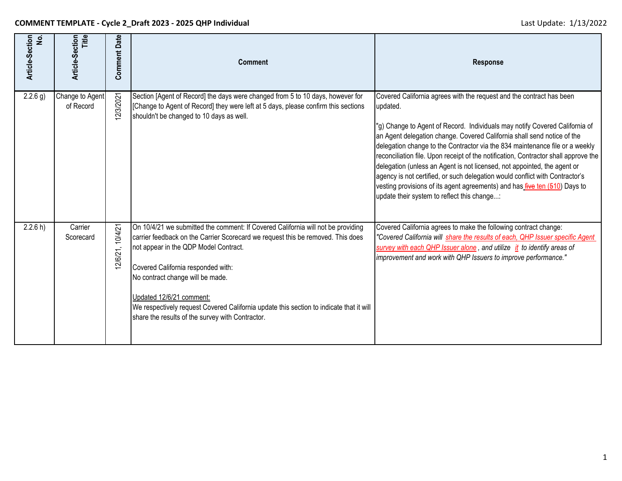| Article-Section<br><u>ي</u> | Title<br>Article-Section     | <b>Comment Date</b> | <b>Comment</b>                                                                                                                                                                                                                                                                                                                                                                                                                                                    | <b>Response</b>                                                                                                                                                                                                                                                                                                                                                                                                                                                                                                                                                                                                                                                                                                   |
|-----------------------------|------------------------------|---------------------|-------------------------------------------------------------------------------------------------------------------------------------------------------------------------------------------------------------------------------------------------------------------------------------------------------------------------------------------------------------------------------------------------------------------------------------------------------------------|-------------------------------------------------------------------------------------------------------------------------------------------------------------------------------------------------------------------------------------------------------------------------------------------------------------------------------------------------------------------------------------------------------------------------------------------------------------------------------------------------------------------------------------------------------------------------------------------------------------------------------------------------------------------------------------------------------------------|
| 2.2.6 g)                    | Change to Agent<br>of Record | 2/3/2021            | Section [Agent of Record] the days were changed from 5 to 10 days, however for<br>[Change to Agent of Record] they were left at 5 days, please confirm this sections<br>shouldn't be changed to 10 days as well.                                                                                                                                                                                                                                                  | Covered California agrees with the request and the contract has been<br>updated.<br>"g) Change to Agent of Record. Individuals may notify Covered California of<br>an Agent delegation change. Covered California shall send notice of the<br>delegation change to the Contractor via the 834 maintenance file or a weekly<br>reconciliation file. Upon receipt of the notification, Contractor shall approve the<br>delegation (unless an Agent is not licensed, not appointed, the agent or<br>agency is not certified, or such delegation would conflict with Contractor's<br>vesting provisions of its agent agreements) and has <i>five ten (510)</i> Days to<br>update their system to reflect this change: |
| 2.2.6 h)                    | Carrier<br>Scorecard         | 12/6/21, 10/4/21    | On 10/4/21 we submitted the comment: If Covered California will not be providing<br>carrier feedback on the Carrier Scorecard we request this be removed. This does<br>not appear in the QDP Model Contract.<br>Covered California responded with:<br>No contract change will be made.<br>Updated 12/6/21 comment:<br>We respectively request Covered California update this section to indicate that it will<br>share the results of the survey with Contractor. | Covered California agrees to make the following contract change:<br>"Covered California will share the results of each, QHP Issuer specific Agent<br>survey with each QHP Issuer alone, and utilize it to identify areas of<br>improvement and work with QHP Issuers to improve performance."                                                                                                                                                                                                                                                                                                                                                                                                                     |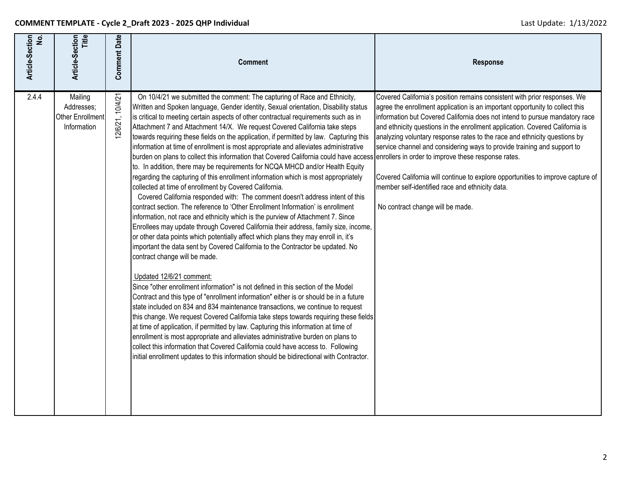| Article-Section<br>No. | Title<br>Article-Section                                 | <b>Comment Date</b> | <b>Comment</b>                                                                                                                                                                                                                                                                                                                                                                                                                                                                                                                                                                                                                                                                                                                                                                                                                                                                                                                                                                                                                                                                                                                                                                                                                                                                                                                                                                                                                                                                                                                                                                                                                                                                                                                                                                                                                                                                                                                                                                                                                                                                                                                                                                                         | <b>Response</b>                                                                                                                                                                                                                                                                                                                                                                                                                                                                                                                                                                                                                                            |
|------------------------|----------------------------------------------------------|---------------------|--------------------------------------------------------------------------------------------------------------------------------------------------------------------------------------------------------------------------------------------------------------------------------------------------------------------------------------------------------------------------------------------------------------------------------------------------------------------------------------------------------------------------------------------------------------------------------------------------------------------------------------------------------------------------------------------------------------------------------------------------------------------------------------------------------------------------------------------------------------------------------------------------------------------------------------------------------------------------------------------------------------------------------------------------------------------------------------------------------------------------------------------------------------------------------------------------------------------------------------------------------------------------------------------------------------------------------------------------------------------------------------------------------------------------------------------------------------------------------------------------------------------------------------------------------------------------------------------------------------------------------------------------------------------------------------------------------------------------------------------------------------------------------------------------------------------------------------------------------------------------------------------------------------------------------------------------------------------------------------------------------------------------------------------------------------------------------------------------------------------------------------------------------------------------------------------------------|------------------------------------------------------------------------------------------------------------------------------------------------------------------------------------------------------------------------------------------------------------------------------------------------------------------------------------------------------------------------------------------------------------------------------------------------------------------------------------------------------------------------------------------------------------------------------------------------------------------------------------------------------------|
| 2.4.4                  | Mailing<br>Addresses;<br>Other Enrollment<br>Information | 12/6/21, 10/4/21    | On 10/4/21 we submitted the comment: The capturing of Race and Ethnicity,<br>Written and Spoken language, Gender identity, Sexual orientation, Disability status<br>is critical to meeting certain aspects of other contractual requirements such as in<br>Attachment 7 and Attachment 14/X. We request Covered California take steps<br>towards requiring these fields on the application, if permitted by law. Capturing this<br>information at time of enrollment is most appropriate and alleviates administrative<br>burden on plans to collect this information that Covered California could have access enrollers in order to improve these response rates.<br>to. In addition, there may be requirements for NCQA MHCD and/or Health Equity<br>regarding the capturing of this enrollment information which is most appropriately<br>collected at time of enrollment by Covered California.<br>Covered California responded with: The comment doesn't address intent of this<br>contract section. The reference to 'Other Enrollment Information' is enrollment<br>information, not race and ethnicity which is the purview of Attachment 7. Since<br>Enrollees may update through Covered California their address, family size, income,<br>or other data points which potentially affect which plans they may enroll in, it's<br>important the data sent by Covered California to the Contractor be updated. No<br>contract change will be made.<br>Updated 12/6/21 comment:<br>Since "other enrollment information" is not defined in this section of the Model<br>Contract and this type of "enrollment information" either is or should be in a future<br>state included on 834 and 834 maintenance transactions, we continue to request<br>this change. We request Covered California take steps towards requiring these fields<br>at time of application, if permitted by law. Capturing this information at time of<br>enrollment is most appropriate and alleviates administrative burden on plans to<br>collect this information that Covered California could have access to. Following<br>initial enrollment updates to this information should be bidirectional with Contractor. | Covered California's position remains consistent with prior responses. We<br>agree the enrollment application is an important opportunity to collect this<br>information but Covered California does not intend to pursue mandatory race<br>and ethnicity questions in the enrollment application. Covered California is<br>analyzing voluntary response rates to the race and ethnicity questions by<br>service channel and considering ways to provide training and support to<br>Covered California will continue to explore opportunities to improve capture of<br>member self-identified race and ethnicity data.<br>No contract change will be made. |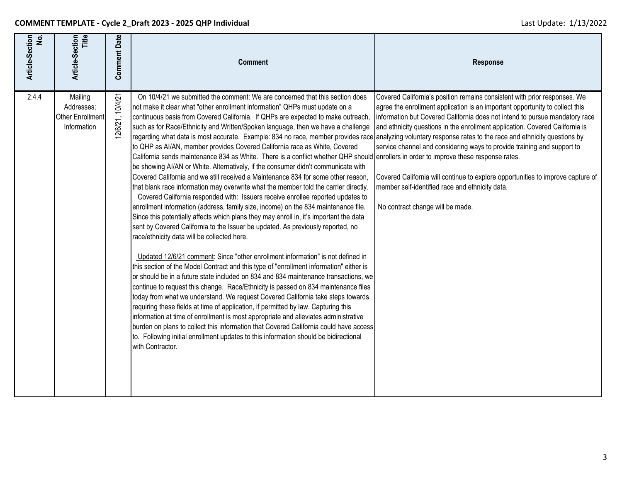| Article-Section<br>No. | <b>Title</b><br>Article-Section                          | <b>Comment Date</b> | <b>Comment</b>                                                                                                                                                                                                                                                                                                                                                                                                                                                                                                                                                                                                                                                                                                                                                                                                                                                                                                                                                                                                                                                                                                                                                                                                                                                                                                                                                                                                                                                                                                                                                                                                                                                                                                                                                                                                                                                                                                                                                                                                                                                                                                                                                                                                                 | Response                                                                                                                                                                                                                                                                                                                                                                                                                                                                                                                                                                      |
|------------------------|----------------------------------------------------------|---------------------|--------------------------------------------------------------------------------------------------------------------------------------------------------------------------------------------------------------------------------------------------------------------------------------------------------------------------------------------------------------------------------------------------------------------------------------------------------------------------------------------------------------------------------------------------------------------------------------------------------------------------------------------------------------------------------------------------------------------------------------------------------------------------------------------------------------------------------------------------------------------------------------------------------------------------------------------------------------------------------------------------------------------------------------------------------------------------------------------------------------------------------------------------------------------------------------------------------------------------------------------------------------------------------------------------------------------------------------------------------------------------------------------------------------------------------------------------------------------------------------------------------------------------------------------------------------------------------------------------------------------------------------------------------------------------------------------------------------------------------------------------------------------------------------------------------------------------------------------------------------------------------------------------------------------------------------------------------------------------------------------------------------------------------------------------------------------------------------------------------------------------------------------------------------------------------------------------------------------------------|-------------------------------------------------------------------------------------------------------------------------------------------------------------------------------------------------------------------------------------------------------------------------------------------------------------------------------------------------------------------------------------------------------------------------------------------------------------------------------------------------------------------------------------------------------------------------------|
| 2.4.4                  | Mailing<br>Addresses;<br>Other Enrollment<br>Information | 10/4/21<br>12/6/21, | On 10/4/21 we submitted the comment: We are concerned that this section does<br>not make it clear what "other enrollment information" QHPs must update on a<br>continuous basis from Covered California. If QHPs are expected to make outreach,<br>such as for Race/Ethnicity and Written/Spoken language, then we have a challenge<br>regarding what data is most accurate. Example: 834 no race, member provides race analyzing voluntary response rates to the race and ethnicity questions by<br>to QHP as AI/AN, member provides Covered California race as White, Covered<br>California sends maintenance 834 as White. There is a conflict whether QHP should enrollers in order to improve these response rates.<br>be showing AI/AN or White. Alternatively, if the consumer didn't communicate with<br>Covered California and we still received a Maintenance 834 for some other reason.<br>that blank race information may overwrite what the member told the carrier directly.<br>Covered California responded with: Issuers receive enrollee reported updates to<br>enrollment information (address, family size, income) on the 834 maintenance file.<br>Since this potentially affects which plans they may enroll in, it's important the data<br>sent by Covered California to the Issuer be updated. As previously reported, no<br>race/ethnicity data will be collected here.<br>Updated 12/6/21 comment: Since "other enrollment information" is not defined in<br>this section of the Model Contract and this type of "enrollment information" either is<br>or should be in a future state included on 834 and 834 maintenance transactions, we<br>continue to request this change. Race/Ethnicity is passed on 834 maintenance files<br>today from what we understand. We request Covered California take steps towards<br>requiring these fields at time of application, if permitted by law. Capturing this<br>information at time of enrollment is most appropriate and alleviates administrative<br>burden on plans to collect this information that Covered California could have access<br>to. Following initial enrollment updates to this information should be bidirectional<br>with Contractor. | Covered California's position remains consistent with prior responses. We<br>agree the enrollment application is an important opportunity to collect this<br>information but Covered California does not intend to pursue mandatory race<br>and ethnicity questions in the enrollment application. Covered California is<br>service channel and considering ways to provide training and support to<br>Covered California will continue to explore opportunities to improve capture of<br>member self-identified race and ethnicity data.<br>No contract change will be made. |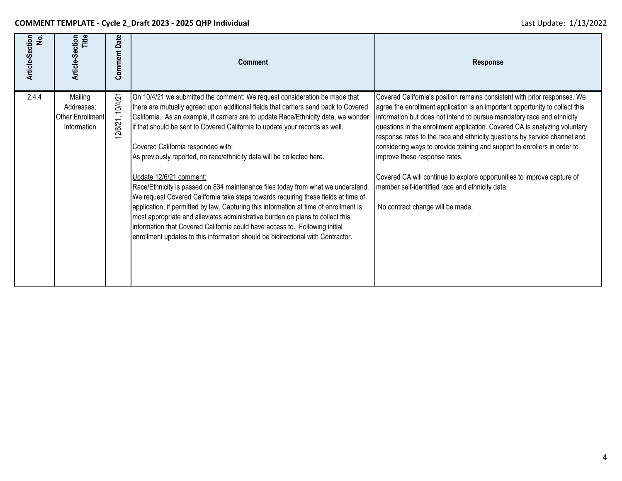| Article-Section<br>ِّوِ | Title<br>Article-Section                                 | Date<br>Comment    | <b>Comment</b>                                                                                                                                                                                                                                                                                                                                                                                                                                                                                                                                                                                                                                                                                                                                                                                                                                                                                                                                                                                             | <b>Response</b>                                                                                                                                                                                                                                                                                                                                                                                                                                                                                                                                                                                                                                                                |
|-------------------------|----------------------------------------------------------|--------------------|------------------------------------------------------------------------------------------------------------------------------------------------------------------------------------------------------------------------------------------------------------------------------------------------------------------------------------------------------------------------------------------------------------------------------------------------------------------------------------------------------------------------------------------------------------------------------------------------------------------------------------------------------------------------------------------------------------------------------------------------------------------------------------------------------------------------------------------------------------------------------------------------------------------------------------------------------------------------------------------------------------|--------------------------------------------------------------------------------------------------------------------------------------------------------------------------------------------------------------------------------------------------------------------------------------------------------------------------------------------------------------------------------------------------------------------------------------------------------------------------------------------------------------------------------------------------------------------------------------------------------------------------------------------------------------------------------|
| 2.4.4                   | Mailing<br>Addresses;<br>Other Enrollment<br>Information | 10/4/21<br>2/6/21, | On 10/4/21 we submitted the comment: We request consideration be made that<br>there are mutually agreed upon additional fields that carriers send back to Covered<br>California. As an example, if carriers are to update Race/Ethnicity data, we wonder<br>if that should be sent to Covered California to update your records as well.<br>Covered California responded with:<br>As previously reported, no race/ethnicity data will be collected here.<br>Update 12/6/21 comment:<br>Race/Ethnicity is passed on 834 maintenance files today from what we understand.<br>We request Covered California take steps towards requiring these fields at time of<br>application, if permitted by law. Capturing this information at time of enrollment is<br>most appropriate and alleviates administrative burden on plans to collect this<br>information that Covered California could have access to. Following initial<br>enrollment updates to this information should be bidirectional with Contractor. | Covered California's position remains consistent with prior responses. We<br>agree the enrollment application is an important opportunity to collect this<br>information but does not intend to pursue mandatory race and ethnicity<br>questions in the enrollment application. Covered CA is analyzing voluntary<br>response rates to the race and ethnicity questions by service channel and<br>considering ways to provide training and support to enrollers in order to<br>improve these response rates.<br>Covered CA will continue to explore opportunities to improve capture of<br>member self-identified race and ethnicity data.<br>No contract change will be made. |